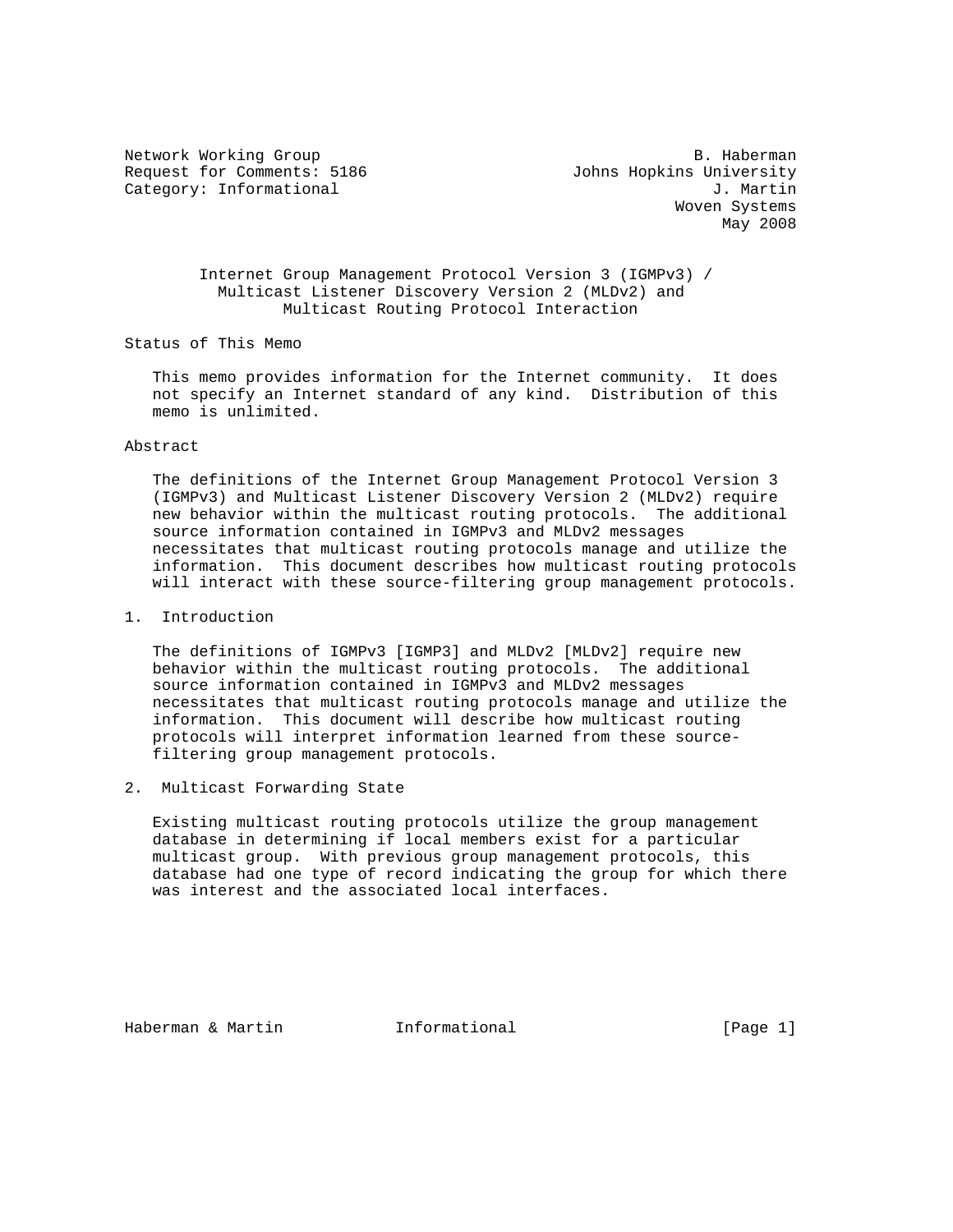Request for Comments: 5186 Johns Hopkins University Category: Informational J. Martin

Network Working Group and the set of the set of the set of the B. Haberman Woven Systems May 2008

> Internet Group Management Protocol Version 3 (IGMPv3) / Multicast Listener Discovery Version 2 (MLDv2) and Multicast Routing Protocol Interaction

Status of This Memo

 This memo provides information for the Internet community. It does not specify an Internet standard of any kind. Distribution of this memo is unlimited.

#### Abstract

 The definitions of the Internet Group Management Protocol Version 3 (IGMPv3) and Multicast Listener Discovery Version 2 (MLDv2) require new behavior within the multicast routing protocols. The additional source information contained in IGMPv3 and MLDv2 messages necessitates that multicast routing protocols manage and utilize the information. This document describes how multicast routing protocols will interact with these source-filtering group management protocols.

## 1. Introduction

 The definitions of IGMPv3 [IGMP3] and MLDv2 [MLDv2] require new behavior within the multicast routing protocols. The additional source information contained in IGMPv3 and MLDv2 messages necessitates that multicast routing protocols manage and utilize the information. This document will describe how multicast routing protocols will interpret information learned from these source filtering group management protocols.

#### 2. Multicast Forwarding State

 Existing multicast routing protocols utilize the group management database in determining if local members exist for a particular multicast group. With previous group management protocols, this database had one type of record indicating the group for which there was interest and the associated local interfaces.

Haberman & Martin **Informational Informational** [Page 1]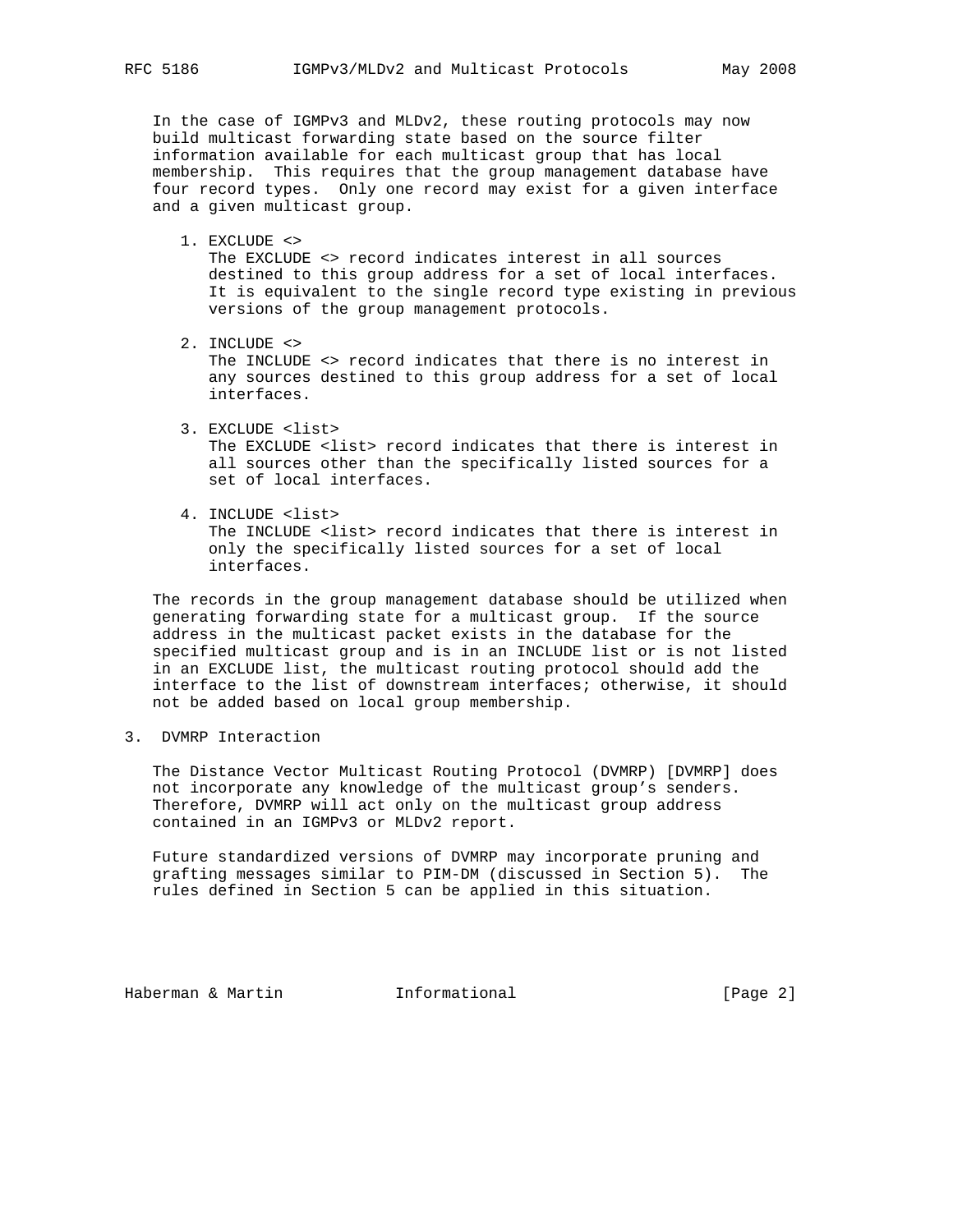In the case of IGMPv3 and MLDv2, these routing protocols may now build multicast forwarding state based on the source filter information available for each multicast group that has local membership. This requires that the group management database have four record types. Only one record may exist for a given interface and a given multicast group.

1. EXCLUDE <>

 The EXCLUDE <> record indicates interest in all sources destined to this group address for a set of local interfaces. It is equivalent to the single record type existing in previous versions of the group management protocols.

2. INCLUDE <>

 The INCLUDE <> record indicates that there is no interest in any sources destined to this group address for a set of local interfaces.

- 3. EXCLUDE <list> The EXCLUDE <list> record indicates that there is interest in all sources other than the specifically listed sources for a set of local interfaces.
- 4. INCLUDE <list> The INCLUDE <list> record indicates that there is interest in only the specifically listed sources for a set of local interfaces.

 The records in the group management database should be utilized when generating forwarding state for a multicast group. If the source address in the multicast packet exists in the database for the specified multicast group and is in an INCLUDE list or is not listed in an EXCLUDE list, the multicast routing protocol should add the interface to the list of downstream interfaces; otherwise, it should not be added based on local group membership.

3. DVMRP Interaction

 The Distance Vector Multicast Routing Protocol (DVMRP) [DVMRP] does not incorporate any knowledge of the multicast group's senders. Therefore, DVMRP will act only on the multicast group address contained in an IGMPv3 or MLDv2 report.

 Future standardized versions of DVMRP may incorporate pruning and grafting messages similar to PIM-DM (discussed in Section 5). The rules defined in Section 5 can be applied in this situation.

Haberman & Martin **Informational Informational** [Page 2]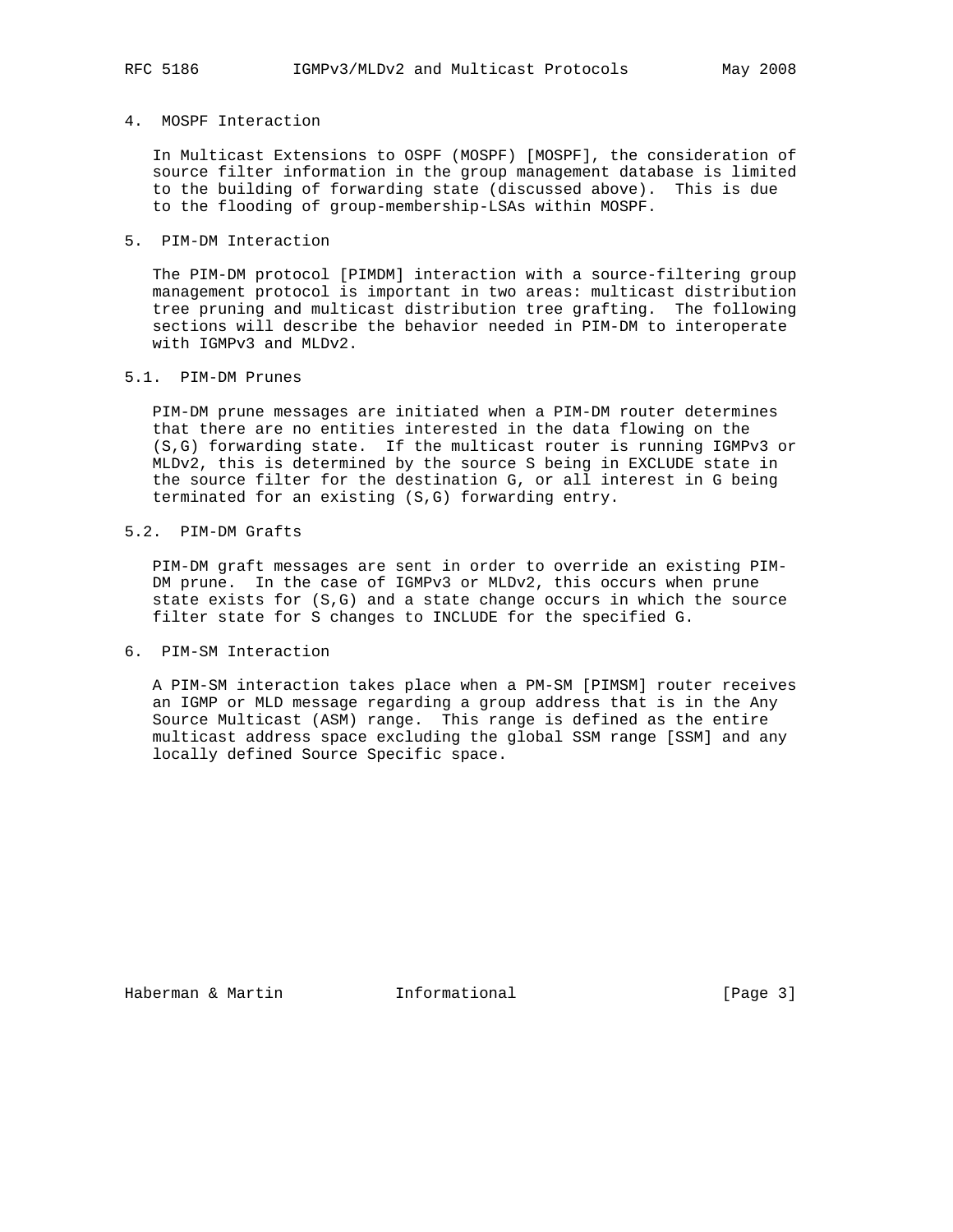## 4. MOSPF Interaction

 In Multicast Extensions to OSPF (MOSPF) [MOSPF], the consideration of source filter information in the group management database is limited to the building of forwarding state (discussed above). This is due to the flooding of group-membership-LSAs within MOSPF.

## 5. PIM-DM Interaction

 The PIM-DM protocol [PIMDM] interaction with a source-filtering group management protocol is important in two areas: multicast distribution tree pruning and multicast distribution tree grafting. The following sections will describe the behavior needed in PIM-DM to interoperate with IGMPv3 and MLDv2.

### 5.1. PIM-DM Prunes

 PIM-DM prune messages are initiated when a PIM-DM router determines that there are no entities interested in the data flowing on the (S,G) forwarding state. If the multicast router is running IGMPv3 or MLDv2, this is determined by the source S being in EXCLUDE state in the source filter for the destination G, or all interest in G being terminated for an existing (S,G) forwarding entry.

## 5.2. PIM-DM Grafts

 PIM-DM graft messages are sent in order to override an existing PIM- DM prune. In the case of IGMPv3 or MLDv2, this occurs when prune state exists for (S,G) and a state change occurs in which the source filter state for S changes to INCLUDE for the specified G.

6. PIM-SM Interaction

 A PIM-SM interaction takes place when a PM-SM [PIMSM] router receives an IGMP or MLD message regarding a group address that is in the Any Source Multicast (ASM) range. This range is defined as the entire multicast address space excluding the global SSM range [SSM] and any locally defined Source Specific space.

Haberman & Martin **Informational** [Page 3]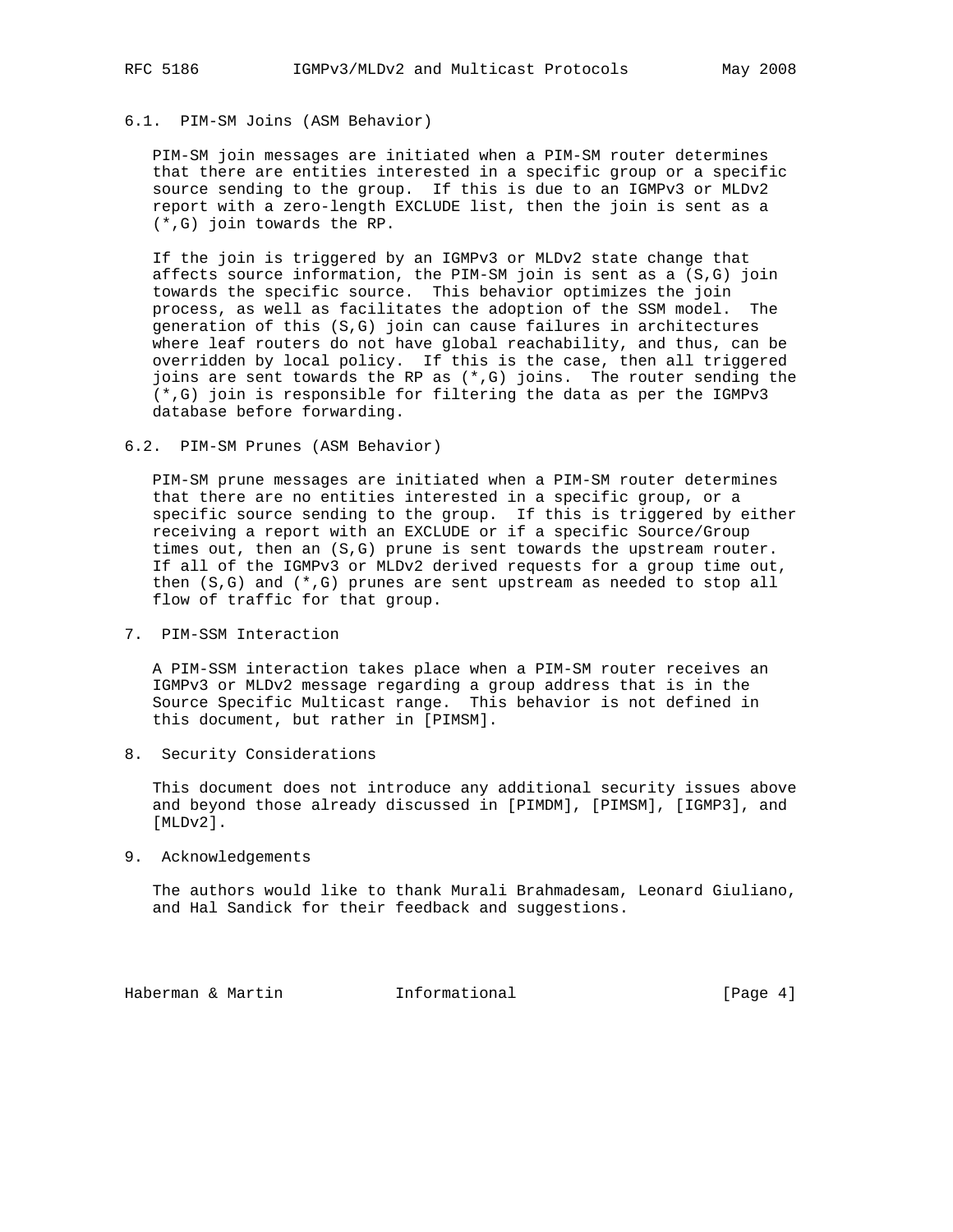# 6.1. PIM-SM Joins (ASM Behavior)

 PIM-SM join messages are initiated when a PIM-SM router determines that there are entities interested in a specific group or a specific source sending to the group. If this is due to an IGMPv3 or MLDv2 report with a zero-length EXCLUDE list, then the join is sent as a (\*,G) join towards the RP.

 If the join is triggered by an IGMPv3 or MLDv2 state change that affects source information, the PIM-SM join is sent as a (S,G) join towards the specific source. This behavior optimizes the join process, as well as facilitates the adoption of the SSM model. The generation of this (S,G) join can cause failures in architectures where leaf routers do not have global reachability, and thus, can be overridden by local policy. If this is the case, then all triggered joins are sent towards the RP as (\*,G) joins. The router sending the (\*,G) join is responsible for filtering the data as per the IGMPv3 database before forwarding.

6.2. PIM-SM Prunes (ASM Behavior)

 PIM-SM prune messages are initiated when a PIM-SM router determines that there are no entities interested in a specific group, or a specific source sending to the group. If this is triggered by either receiving a report with an EXCLUDE or if a specific Source/Group times out, then an (S,G) prune is sent towards the upstream router. If all of the IGMPv3 or MLDv2 derived requests for a group time out, then (S,G) and (\*,G) prunes are sent upstream as needed to stop all flow of traffic for that group.

7. PIM-SSM Interaction

 A PIM-SSM interaction takes place when a PIM-SM router receives an IGMPv3 or MLDv2 message regarding a group address that is in the Source Specific Multicast range. This behavior is not defined in this document, but rather in [PIMSM].

8. Security Considerations

 This document does not introduce any additional security issues above and beyond those already discussed in [PIMDM], [PIMSM], [IGMP3], and [MLDv2].

9. Acknowledgements

 The authors would like to thank Murali Brahmadesam, Leonard Giuliano, and Hal Sandick for their feedback and suggestions.

Haberman & Martin **Informational Informational** [Page 4]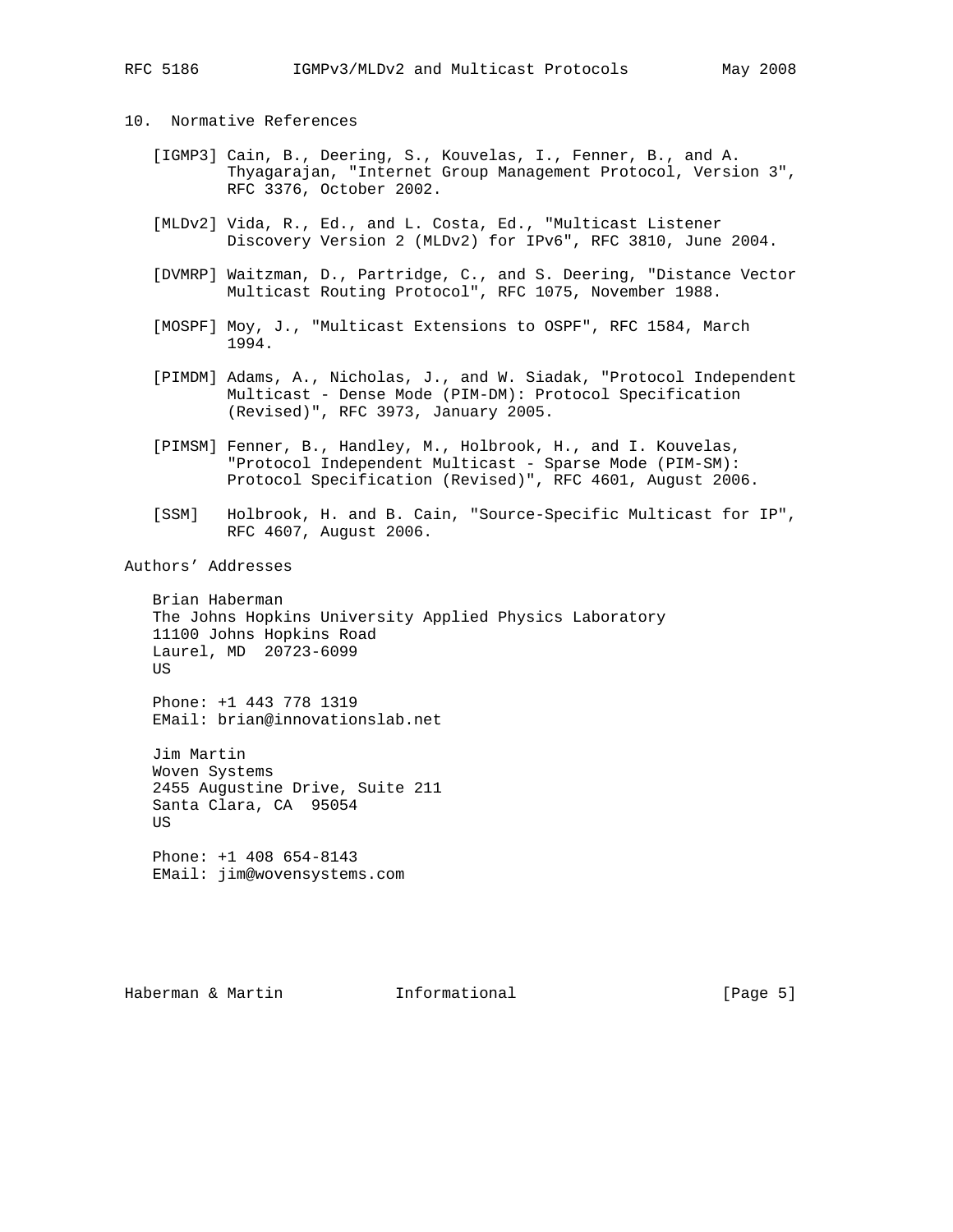#### 10. Normative References

- [IGMP3] Cain, B., Deering, S., Kouvelas, I., Fenner, B., and A. Thyagarajan, "Internet Group Management Protocol, Version 3", RFC 3376, October 2002.
- [MLDv2] Vida, R., Ed., and L. Costa, Ed., "Multicast Listener Discovery Version 2 (MLDv2) for IPv6", RFC 3810, June 2004.
- [DVMRP] Waitzman, D., Partridge, C., and S. Deering, "Distance Vector Multicast Routing Protocol", RFC 1075, November 1988.
- [MOSPF] Moy, J., "Multicast Extensions to OSPF", RFC 1584, March 1994.
- [PIMDM] Adams, A., Nicholas, J., and W. Siadak, "Protocol Independent Multicast - Dense Mode (PIM-DM): Protocol Specification (Revised)", RFC 3973, January 2005.
- [PIMSM] Fenner, B., Handley, M., Holbrook, H., and I. Kouvelas, "Protocol Independent Multicast - Sparse Mode (PIM-SM): Protocol Specification (Revised)", RFC 4601, August 2006.
- [SSM] Holbrook, H. and B. Cain, "Source-Specific Multicast for IP", RFC 4607, August 2006.

Authors' Addresses

 Brian Haberman The Johns Hopkins University Applied Physics Laboratory 11100 Johns Hopkins Road Laurel, MD 20723-6099 **TIS** 

 Phone: +1 443 778 1319 EMail: brian@innovationslab.net

 Jim Martin Woven Systems 2455 Augustine Drive, Suite 211 Santa Clara, CA 95054 US Phone: +1 408 654-8143

EMail: jim@wovensystems.com

Haberman & Martin **Informational Informational** [Page 5]